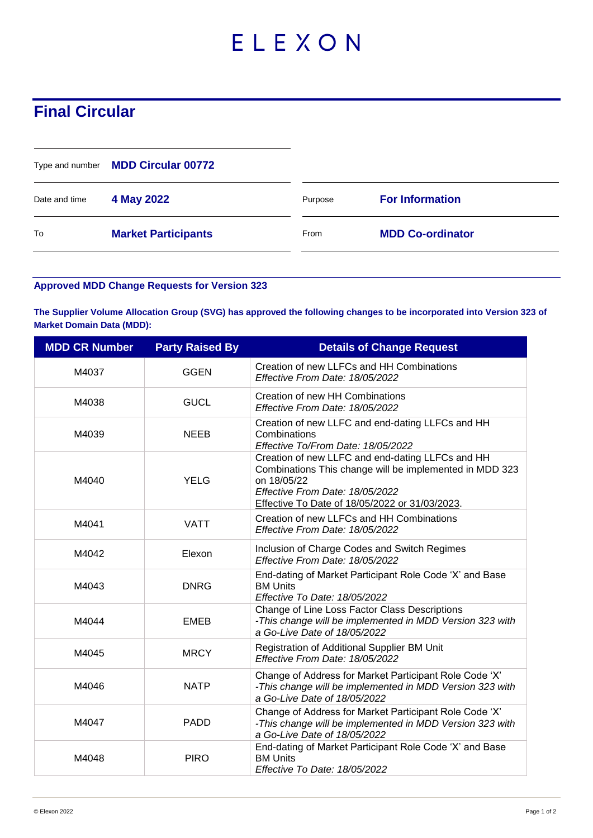## ELEXON

## **Final Circular**

|               | Type and number MDD Circular 00772 |         |                         |
|---------------|------------------------------------|---------|-------------------------|
| Date and time | 4 May 2022                         | Purpose | <b>For Information</b>  |
| To            | <b>Market Participants</b>         | From    | <b>MDD Co-ordinator</b> |

## **Approved MDD Change Requests for Version 323**

**The Supplier Volume Allocation Group (SVG) has approved the following changes to be incorporated into Version 323 of Market Domain Data (MDD):**

| <b>MDD CR Number</b> | <b>Party Raised By</b> | <b>Details of Change Request</b>                                                                                                                                                                                |
|----------------------|------------------------|-----------------------------------------------------------------------------------------------------------------------------------------------------------------------------------------------------------------|
| M4037                | <b>GGEN</b>            | Creation of new LLFCs and HH Combinations<br>Effective From Date: 18/05/2022                                                                                                                                    |
| M4038                | <b>GUCL</b>            | Creation of new HH Combinations<br>Effective From Date: 18/05/2022                                                                                                                                              |
| M4039                | <b>NEEB</b>            | Creation of new LLFC and end-dating LLFCs and HH<br>Combinations<br>Effective To/From Date: 18/05/2022                                                                                                          |
| M4040                | <b>YELG</b>            | Creation of new LLFC and end-dating LLFCs and HH<br>Combinations This change will be implemented in MDD 323<br>on 18/05/22<br>Effective From Date: 18/05/2022<br>Effective To Date of 18/05/2022 or 31/03/2023. |
| M4041                | <b>VATT</b>            | Creation of new LLFCs and HH Combinations<br>Effective From Date: 18/05/2022                                                                                                                                    |
| M4042                | Elexon                 | Inclusion of Charge Codes and Switch Regimes<br>Effective From Date: 18/05/2022                                                                                                                                 |
| M4043                | <b>DNRG</b>            | End-dating of Market Participant Role Code 'X' and Base<br><b>BM Units</b><br>Effective To Date: 18/05/2022                                                                                                     |
| M4044                | <b>EMEB</b>            | Change of Line Loss Factor Class Descriptions<br>-This change will be implemented in MDD Version 323 with<br>a Go-Live Date of 18/05/2022                                                                       |
| M4045                | <b>MRCY</b>            | Registration of Additional Supplier BM Unit<br>Effective From Date: 18/05/2022                                                                                                                                  |
| M4046                | <b>NATP</b>            | Change of Address for Market Participant Role Code 'X'<br>-This change will be implemented in MDD Version 323 with<br>a Go-Live Date of 18/05/2022                                                              |
| M4047                | <b>PADD</b>            | Change of Address for Market Participant Role Code 'X'<br>-This change will be implemented in MDD Version 323 with<br>a Go-Live Date of 18/05/2022                                                              |
| M4048                | <b>PIRO</b>            | End-dating of Market Participant Role Code 'X' and Base<br><b>BM Units</b><br>Effective To Date: 18/05/2022                                                                                                     |